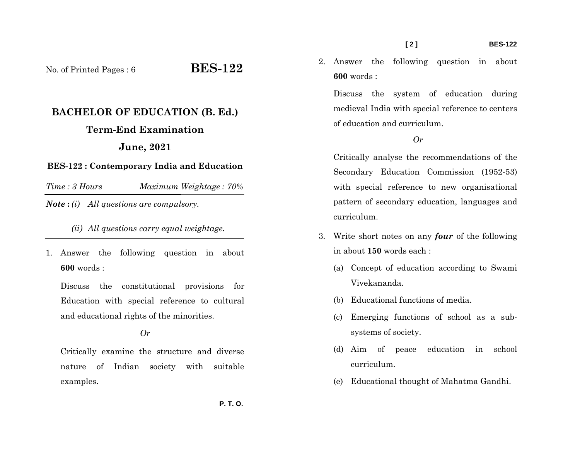No. of Printed Pages : 6 **BES-122** 

# **BACHELOR OF EDUCATION (B. Ed.) Term-End Examination June, 2021**

#### **BES-122 : Contemporary India and Education**

*Time : 3 HoursMaximum Weightage : 70%* 

*Note* **:** *(i) All questions are compulsory.* 

### *(ii) All questions carry equal weightage.*

1. Answer the following question in about **600** words :

Discuss the constitutional provisions for Education with special reference to cultural and educational rights of the minorities.

#### *Or*

Critically examine the structure and diverse nature of Indian society with suitable examples.

2. Answer the following question in about **600** words :

Discuss the system of education during medieval India with special reference to centers of education and curriculum.

#### *Or*

Critically analyse the recommendations of the Secondary Education Commission (1952-53) with special reference to new organisational pattern of secondary education, languages and curriculum.

- 3. Write short notes on any *four* of the following in about **150** words each :
	- (a) Concept of education according to Swami Vivekananda.
	- (b) Educational functions of media.
	- (c) Emerging functions of school as a subsystems of society.
	- (d) Aim of peace education in school curriculum.
	- (e) Educational thought of Mahatma Gandhi.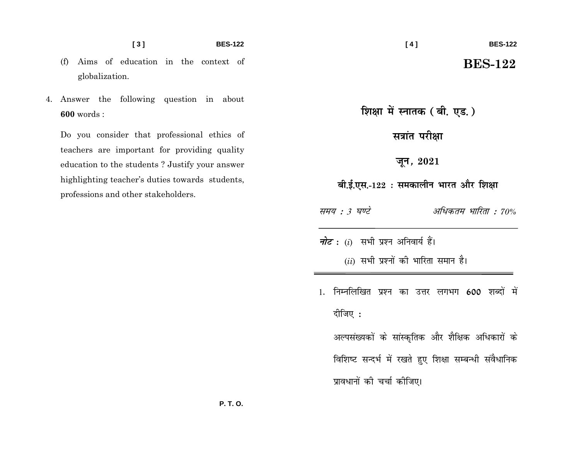**BES-122** 

- Aims of education in the context of  $(f)$ globalization.
- 4. Answer the following question in about  $600$  words:

Do you consider that professional ethics of teachers are important for providing quality education to the students? Justify your answer highlighting teacher's duties towards students, professions and other stakeholders.

## **BES-122**

शिक्षा में स्नातक (बी. एड.)

सत्रांत परीक्षा

जून, 2021

बी.ई.एस.-122 : समकालीन भारत और शिक्षा

अधिकतम भारिता : 70% समय : 3 घण्टे

*नोट*: (i) सभी प्रश्न अनिवार्य हैं।

 $(ii)$  सभी प्रश्नों की भारिता समान है।

1. निम्नलिखित प्रश्न का उत्तर लगभग 600 शब्दों में दीजिए :

अल्पसंख्यकों के सांस्कृतिक और शैक्षिक अधिकारों के विशिष्ट सन्दर्भ में रखते हुए शिक्षा सम्बन्धी संवैधानिक प्रावधानों की चर्चा कीजिए।